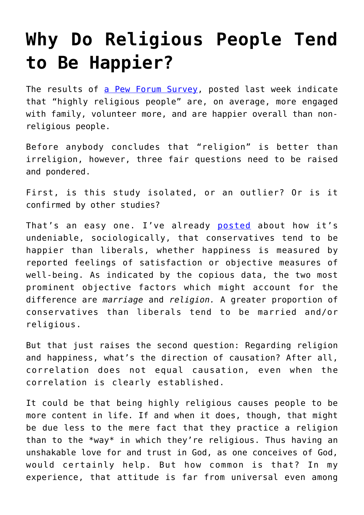## **[Why Do Religious People Tend](https://intellectualtakeout.org/2016/04/why-do-religious-people-tend-to-be-happier/) [to Be Happier?](https://intellectualtakeout.org/2016/04/why-do-religious-people-tend-to-be-happier/)**

The results of [a Pew Forum Survey,](http://www.pewforum.org/2016/04/12/religion-in-everyday-life/pf_2016-04-12_everydayreligion-00/) posted last week indicate that "highly religious people" are, on average, more engaged with family, volunteer more, and are happier overall than nonreligious people.

Before anybody concludes that "religion" is better than irreligion, however, three fair questions need to be raised and pondered.

First, is this study isolated, or an outlier? Or is it confirmed by other studies?

That's an easy one. I've already [posted](https://www.intellectualtakeout.org/blog/science-conservatives-are-happier-liberals-and-extremists-are-happier-moderates) about how it's undeniable, sociologically, that conservatives tend to be happier than liberals, whether happiness is measured by reported feelings of satisfaction or objective measures of well-being. As indicated by the copious data, the two most prominent objective factors which might account for the difference are *marriage* and *religion.* A greater proportion of conservatives than liberals tend to be married and/or religious.

But that just raises the second question: Regarding religion and happiness, what's the direction of causation? After all, correlation does not equal causation, even when the correlation is clearly established.

It could be that being highly religious causes people to be more content in life. If and when it does, though, that might be due less to the mere fact that they practice a religion than to the \*way\* in which they're religious. Thus having an unshakable love for and trust in God, as one conceives of God, would certainly help. But how common is that? In my experience, that attitude is far from universal even among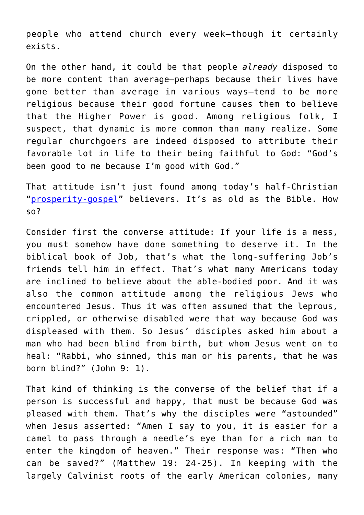people who attend church every week—though it certainly exists.

On the other hand, it could be that people *already* disposed to be more content than average—perhaps because their lives have gone better than average in various ways—tend to be more religious because their good fortune causes them to believe that the Higher Power is good. Among religious folk, I suspect, that dynamic is more common than many realize. Some regular churchgoers are indeed disposed to attribute their favorable lot in life to their being faithful to God: "God's been good to me because I'm good with God."

That attitude isn't just found among today's half-Christian "[prosperity-gospel"](https://en.wikipedia.org/wiki/Prosperity_theology) believers. It's as old as the Bible. How so?

Consider first the converse attitude: If your life is a mess, you must somehow have done something to deserve it. In the biblical book of Job, that's what the long-suffering Job's friends tell him in effect. That's what many Americans today are inclined to believe about the able-bodied poor. And it was also the common attitude among the religious Jews who encountered Jesus. Thus it was often assumed that the leprous, crippled, or otherwise disabled were that way because God was displeased with them. So Jesus' disciples asked him about a man who had been blind from birth, but whom Jesus went on to heal: "Rabbi, who sinned, this man or his parents, that he was born blind?" (John 9: 1).

That kind of thinking is the converse of the belief that if a person is successful and happy, that must be because God was pleased with them. That's why the disciples were "astounded" when Jesus asserted: "Amen I say to you, it is easier for a camel to pass through a needle's eye than for a rich man to enter the kingdom of heaven." Their response was: "Then who can be saved?" (Matthew 19: 24-25). In keeping with the largely Calvinist roots of the early American colonies, many